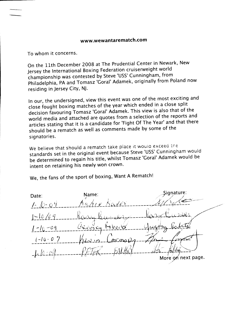To whom it concerns.

On the 11th December 2008 at The Prudential Center in Newark, New Jersey the International Boxing Federation cruiserweight world championship was contested by Steve 'USS' Cunningham, from Philadelphia, PA and Tomasz 'Goral' Adamek, originally from Poland now residing in Jersey City, NJ.

In our, the undersigned, view this event was one of the most exciting and close fought boxing matches of the year which ended in a close split decision favouring Tomasz 'Goral' Adamek. This view is also that of the world media and attached are quotes from a selection of the reports and articles stating that it is a candidate for 'Fight Of The Year' and that there should be a rematch as well as comments made by some of the signatories.

We believe that should a rematch take place it would exceed the standards set in the original event because Steve 'USS' Cunningham would be determined to regain his title, whilst Tomasz 'Goral' Adamek would be intent on retaining his newly won crown.

We, the fans of the sport of boxing, Want A Rematch!

Signature: Name: Date:  $1 - 2i$  $1 - 10 / 09$  $G_{\alpha\alpha\beta}$ ,  $c_{\alpha\beta}$  ( $c_{\beta\alpha\beta}$  )  $c_{\beta\beta\gamma}$  ( $c_{\beta\gamma\delta}$  )  $c_{\beta\gamma\delta}$  )  $c_{\beta\gamma\delta}$  )  $c_{\beta\gamma\delta}$  )  $c_{\beta\gamma\delta}$  )  $c_{\beta\gamma\delta}$  )  $c_{\beta\gamma\delta}$  )  $c_{\beta\gamma\delta}$  )  $c_{\beta\gamma\delta}$  )  $c_{\beta\gamma\delta}$  )  $c_{\beta\gamma\delta}$  )  $c_{\beta\gamma\delta}$  )  $c$  $1 - 10 - 09$  $(-16 - 0)^2$  $\mathbb{A}\mathbb{C}$ no $\mathcal{Q}_{\mathcal{A}}$  $1 - 10 - 01$ More on next page.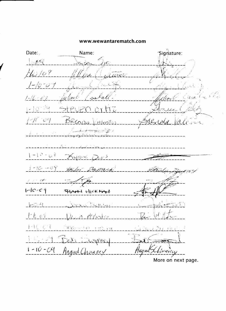'Signature: Date: Name:  $1189$ 110109  $1 - 10 - 0$  $2 - 10 - 69$ the lear k Crui  $1 - 10 - 09$  $i$  -  $i$  -  $i$  -  $i$  -  $i$  -  $i$  -  $i$  -  $i$  $B_{RLOD}$  $2 - 1$  $\mathbb{Z}^{\mathbb{Z}}$  $1 - 10 - 07$ <u> Xyme Dws</u>  $1 - 10 - 09$ Baymond 7 - 2011 - 2011<br>- - - - - - - - - $1 - 10 - c$  9 SHAMM HICKMAN  $1 - 0 - 1$  $\mathcal{M}$  $1 - 10 - 0$ <u>n Mykster</u>  $1 - 10 - C$ A CENTER  $10 - 150$ FATTAT  $1 - 10 - 04$ Anguel Channey Hugnd Lemning More on next page.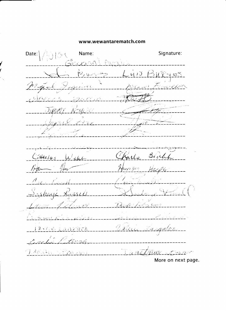Date: Signature: Name:  $\exists$  U  $\heartsuit$  $\overline{v}$  $\overline{v}$  $\overline{\partial}$  $\overline{\mathscr{L}}$ Territ appricac  $\mathscr{A}_\ell$  )  $\in$ Bich  $\mathscr{S}$  $H$ AR/GS Ledel ن اکم بہتا ハカ  $-50<sub>m</sub>$ 11-غۇڭ  $\zeta_{D}$ Sanasson <u> a erre Langotoz</u> . tv netrius. TRACHE STOURIE  $\mathcal{L}$  and  $\mathcal{L}^{<\sim}$ More on next page.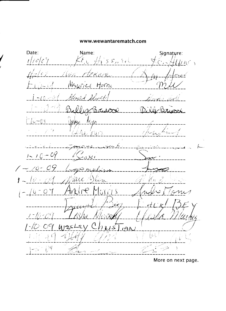Date: Name: Signature:  $t/c/c$  $\frac{1}{2}$  is  $s_{14}$  Ext  $\mathscr{E}_{\mathcal{X}}$ 女女の tekwe  $\ell^2$ ن کی Maurice Horne  $)-04$ George Should  $56 - 00$  $\frac{1}{\sqrt{2}}$ <u>NBriscol</u>  $\sqrt{0}-0.9$  $fQ/\gtrsim$ جافيت  $1 - 10 - 09$ ) جاي ديم  $1 - 10 -$ يعام جريمه Marc Hlen  $\frac{1}{2}$  $\langle \overline{\mathcal{O}} \rangle$  $\mathcal{\mathcal{C}}$  $-$  /  $6$   $OTCLS$  $\bigcirc$  $1 - 10 - 04$ 1D -ぞ\  $\mathbf{F}$ 4195  $h$  exs  $C\mathcal{A}$  $19M$  $\left\lfloor \mu \right\rfloor$  $\rightarrow$  $\mathcal{L}$  $-10 - 04$ 

More on next page.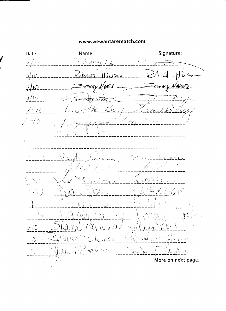Signature: Name: Date:  $\hat{Z}^{\hat{Z}}$ Digim  $\mathcal{A}% _{A}=\mathcal{A}_{A}\!\left( A_{A}\right) ,\qquad \mathcal{A}_{A}\!\left( A_{A}\right) ,\qquad \mathcal{A}_{A}\!\left( A_{A}\right) ,$  $1/1C$  $ch$ set  $\sum$ でががみ  $\dot{A}$  $1/10$ <u>zzytescr</u>e  $2 - 10$  $\bigcirc$ er  $\neg C$  $424$ Ä Versi (  $\frac{1}{2}$  and  $\frac{1}{2}$  $\sim$   $\frac{1}{2}$  $\infty$  $I-U$  $\iota \cup \iota$ Bille J KWOK al croon  $-\sqrt{2}$ ્ર દા hangift Derans  $\mathcal{L}$   $\mathcal{U}$  and j-ff Vic. More on next page.